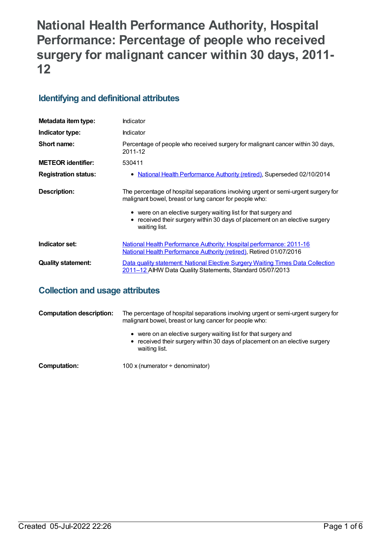# **National Health Performance Authority, Hospital Performance: Percentage of people who received surgery for malignant cancer within 30 days, 2011- 12**

# **Identifying and definitional attributes**

| Metadata item type:         | Indicator                                                                                                                                                                                                                                                                                                          |
|-----------------------------|--------------------------------------------------------------------------------------------------------------------------------------------------------------------------------------------------------------------------------------------------------------------------------------------------------------------|
| Indicator type:             | Indicator                                                                                                                                                                                                                                                                                                          |
| Short name:                 | Percentage of people who received surgery for malignant cancer within 30 days,<br>2011-12                                                                                                                                                                                                                          |
| <b>METEOR identifier:</b>   | 530411                                                                                                                                                                                                                                                                                                             |
| <b>Registration status:</b> | <u>National Health Performance Authority (retired), Superseded 02/10/2014</u><br>$\bullet$                                                                                                                                                                                                                         |
| Description:                | The percentage of hospital separations involving urgent or semi-urgent surgery for<br>malignant bowel, breast or lung cancer for people who:<br>• were on an elective surgery waiting list for that surgery and<br>received their surgery within 30 days of placement on an elective surgery<br>٠<br>waiting list. |
| Indicator set:              | National Health Performance Authority: Hospital performance: 2011-16<br><b>National Health Performance Authority (retired), Retired 01/07/2016</b>                                                                                                                                                                 |
| <b>Quality statement:</b>   | Data quality statement: National Elective Surgery Waiting Times Data Collection<br>2011-12 AIHW Data Quality Statements, Standard 05/07/2013                                                                                                                                                                       |

# **Collection and usage attributes**

| <b>Computation description:</b> | The percentage of hospital separations involving urgent or semi-urgent surgery for<br>malignant bowel, breast or lung cancer for people who:                    |
|---------------------------------|-----------------------------------------------------------------------------------------------------------------------------------------------------------------|
|                                 | • were on an elective surgery waiting list for that surgery and<br>• received their surgery within 30 days of placement on an elective surgery<br>waiting list. |
| Computation:                    | 100 x (numerator $\div$ denominator)                                                                                                                            |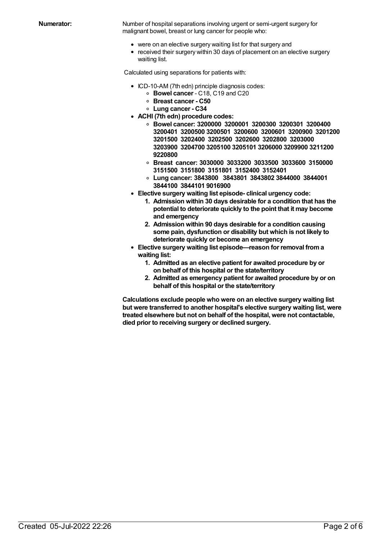**Numerator:** Number of hospital separations involving urgent or semi-urgent surgery for malignant bowel, breast or lung cancer for people who:

- were on an elective surgery waiting list for that surgery and
- received their surgery within 30 days of placement on an elective surgery waiting list.

Calculated using separations for patients with:

- ICD-10-AM (7th edn) principle diagnosis codes:
	- **Bowel cancer** C18, C19 and C20
	- **Breast cancer - C50**
	- **Lung cancer - C34**
- **ACHI (7th edn) procedure codes:**
	- **Bowel cancer: 3200000 3200001 3200300 3200301 3200400 3200401 3200500 3200501 3200600 3200601 3200900 3201200 3201500 3202400 3202500 3202600 3202800 3203000 3203900 3204700 3205100 3205101 3206000 3209900 3211200 9220800**
	- **Breast cancer: 3030000 3033200 3033500 3033600 3150000 3151500 3151800 3151801 3152400 3152401**
	- **Lung cancer: 3843800 3843801 3843802 3844000 3844001 3844100 3844101 9016900**
- **Elective surgery waiting list episode- clinical urgency code:**
	- **1. Admission within 30 days desirable for a condition that has the potential to deteriorate quickly to the point that it may become and emergency**
	- **2. Admission within 90 days desirable for a condition causing some pain, dysfunction or disability but which is not likely to deteriorate quickly or become an emergency**
- **Elective surgery waiting list episode—reason for removal froma waiting list:**
	- **1. Admitted as an elective patient for awaited procedure by or on behalf of this hospital or the state/territory**
	- **2. Admitted as emergency patient for awaited procedure by or on behalf of this hospital or the state/territory**

**Calculations exclude people who were on an elective surgery waiting list but were transferred to another hospital's elective surgery waiting list, were treated elsewhere but not on behalf of the hospital, were not contactable, died prior to receiving surgery or declined surgery.**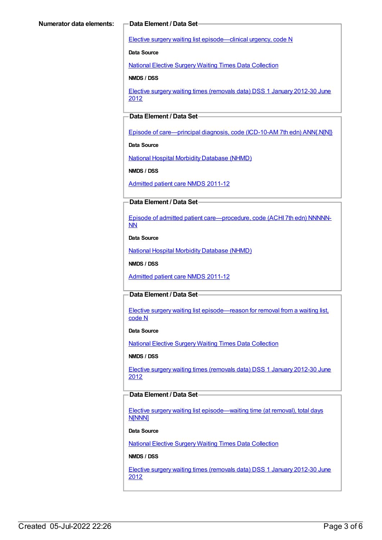Elective surgery waiting list [episode—clinical](https://meteor.aihw.gov.au/content/270008) urgency, code N

**Data Source**

National Elective Surgery Waiting Times Data [Collection](https://meteor.aihw.gov.au/content/395071)

**NMDS / DSS**

Elective surgery waiting times [\(removals](https://meteor.aihw.gov.au/content/470097) data) DSS 1 January 2012-30 June 2012

### **Data Element / Data Set**

Episode of [care—principal](https://meteor.aihw.gov.au/content/391326) diagnosis, code (ICD-10-AM 7th edn) ANN{.N[N]}

**Data Source**

National Hospital Morbidity [Database](https://meteor.aihw.gov.au/content/394352) (NHMD)

**NMDS / DSS**

[Admitted](https://meteor.aihw.gov.au/content/426861) patient care NMDS 2011-12

#### **Data Element / Data Set**

Episode of admitted patient [care—procedure,](https://meteor.aihw.gov.au/content/391349) code (ACHI 7th edn) NNNNN-NN

**Data Source**

National Hospital Morbidity [Database](https://meteor.aihw.gov.au/content/394352) (NHMD)

**NMDS / DSS**

[Admitted](https://meteor.aihw.gov.au/content/426861) patient care NMDS 2011-12

#### **Data Element / Data Set**

Elective surgery waiting list [episode—reason](https://meteor.aihw.gov.au/content/471735) for removal from a waiting list, code N

**Data Source**

National Elective Surgery Waiting Times Data [Collection](https://meteor.aihw.gov.au/content/395071)

**NMDS / DSS**

Elective surgery waiting times [\(removals](https://meteor.aihw.gov.au/content/470097) data) DSS 1 January 2012-30 June 2012

#### **Data Element / Data Set**

Elective surgery waiting list [episode—waiting](https://meteor.aihw.gov.au/content/471744) time (at removal), total days N[NNN]

#### **Data Source**

National Elective Surgery Waiting Times Data [Collection](https://meteor.aihw.gov.au/content/395071)

#### **NMDS / DSS**

Elective surgery waiting times [\(removals](https://meteor.aihw.gov.au/content/470097) data) DSS 1 January 2012-30 June 2012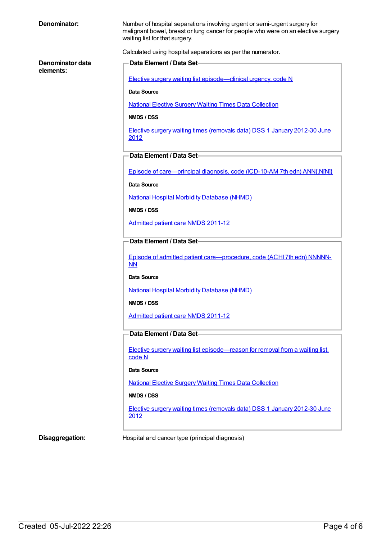| Denominator:                  | Number of hospital separations involving urgent or semi-urgent surgery for<br>malignant bowel, breast or lung cancer for people who were on an elective surgery<br>waiting list for that surgery. |
|-------------------------------|---------------------------------------------------------------------------------------------------------------------------------------------------------------------------------------------------|
|                               | Calculated using hospital separations as per the numerator.                                                                                                                                       |
| Denominator data<br>elements: | Data Element / Data Set-                                                                                                                                                                          |
|                               | Elective surgery waiting list episode—clinical urgency, code N                                                                                                                                    |
|                               | Data Source                                                                                                                                                                                       |
|                               | <b>National Elective Surgery Waiting Times Data Collection</b>                                                                                                                                    |
|                               | NMDS / DSS                                                                                                                                                                                        |
|                               | Elective surgery waiting times (removals data) DSS 1 January 2012-30 June<br>2012                                                                                                                 |
|                               | Data Element / Data Set-                                                                                                                                                                          |
|                               | Episode of care—principal diagnosis, code (ICD-10-AM 7th edn) ANN{.N[N]}                                                                                                                          |
|                               | <b>Data Source</b>                                                                                                                                                                                |
|                               | <b>National Hospital Morbidity Database (NHMD)</b>                                                                                                                                                |
|                               | NMDS / DSS                                                                                                                                                                                        |
|                               | <b>Admitted patient care NMDS 2011-12</b>                                                                                                                                                         |
|                               | Data Element / Data Set                                                                                                                                                                           |
|                               | Episode of admitted patient care-procedure, code (ACHI 7th edn) NNNNN-<br>NN                                                                                                                      |
|                               | Data Source                                                                                                                                                                                       |
|                               | <b>National Hospital Morbidity Database (NHMD)</b>                                                                                                                                                |
|                               | NMDS / DSS                                                                                                                                                                                        |
|                               | <b>Admitted patient care NMDS 2011-12</b>                                                                                                                                                         |
|                               | Data Element / Data Set                                                                                                                                                                           |
|                               | Elective surgery waiting list episode—reason for removal from a waiting list,<br>code N                                                                                                           |
|                               | Data Source                                                                                                                                                                                       |
|                               | <b>National Elective Surgery Waiting Times Data Collection</b>                                                                                                                                    |
|                               | NMDS / DSS                                                                                                                                                                                        |
|                               | Elective surgery waiting times (removals data) DSS 1 January 2012-30 June<br>2012                                                                                                                 |
| Disaggregation:               | Hospital and cancer type (principal diagnosis)                                                                                                                                                    |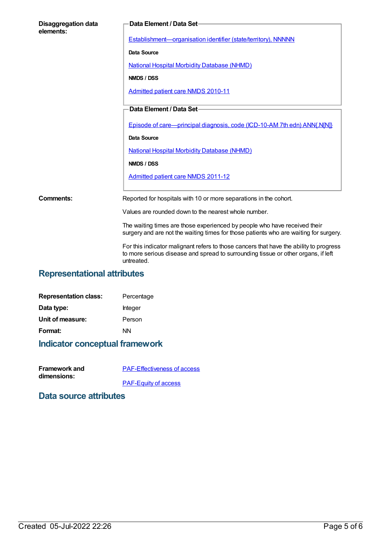| <b>Disaggregation data</b><br>elements: | Data Element / Data Set-                                                                                                                                                                  |
|-----------------------------------------|-------------------------------------------------------------------------------------------------------------------------------------------------------------------------------------------|
|                                         | Establishment-organisation identifier (state/territory), NNNNN                                                                                                                            |
|                                         | Data Source                                                                                                                                                                               |
|                                         | <b>National Hospital Morbidity Database (NHMD)</b>                                                                                                                                        |
|                                         | NMDS / DSS                                                                                                                                                                                |
|                                         | Admitted patient care NMDS 2010-11                                                                                                                                                        |
|                                         | Data Element / Data Set-                                                                                                                                                                  |
|                                         | Episode of care—principal diagnosis, code (ICD-10-AM 7th edn) ANN{.N[N]}                                                                                                                  |
|                                         | <b>Data Source</b>                                                                                                                                                                        |
|                                         | <b>National Hospital Morbidity Database (NHMD)</b>                                                                                                                                        |
|                                         | NMDS / DSS                                                                                                                                                                                |
|                                         | Admitted patient care NMDS 2011-12                                                                                                                                                        |
| Comments:                               | Reported for hospitals with 10 or more separations in the cohort.                                                                                                                         |
|                                         | Values are rounded down to the nearest whole number.                                                                                                                                      |
|                                         | The waiting times are those experienced by people who have received their<br>surgery and are not the waiting times for those patients who are waiting for surgery.                        |
|                                         | For this indicator malignant refers to those cancers that have the ability to progress<br>to more serious disease and spread to surrounding tissue or other organs, if left<br>untreated. |

# **Representational attributes**

| <b>Representation class:</b> | Percentage |
|------------------------------|------------|
| Data type:                   | Integer    |
| Unit of measure:             | Person     |
| Format:                      | ΝN         |
|                              |            |

# **Indicator conceptual framework**

| <b>Framework and</b> | <b>PAF-Effectiveness of access</b> |
|----------------------|------------------------------------|
| dimensions:          |                                    |
|                      | <b>PAF-Equity of access</b>        |

### **Data source attributes**